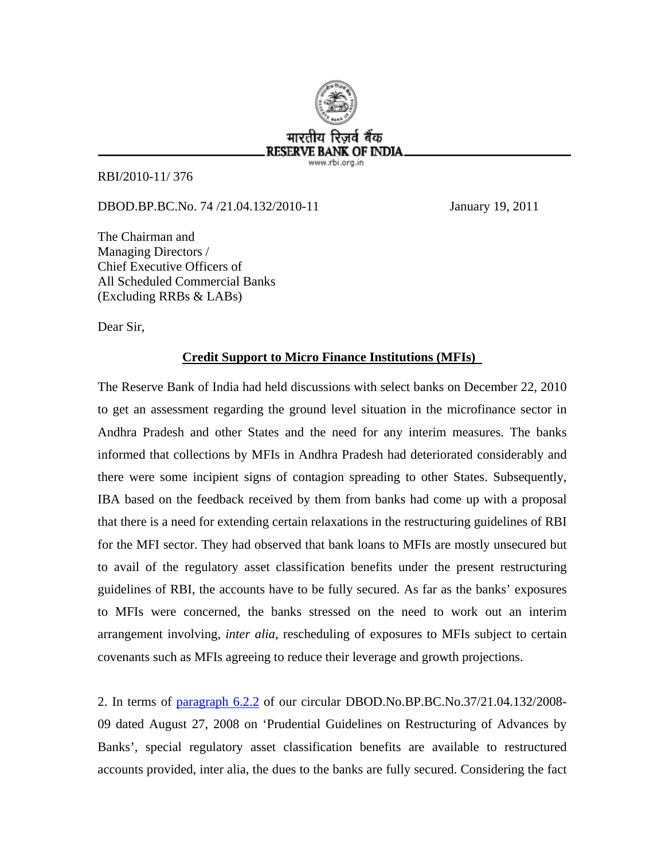

RBI/2010-11/ 376

DBOD.BP.BC.No. 74 /21.04.132/2010-11 January 19, 2011

The Chairman and Managing Directors / Chief Executive Officers of All Scheduled Commercial Banks (Excluding RRBs & LABs)

Dear Sir,

## **Credit Support to Micro Finance Institutions (MFIs)**

The Reserve Bank of India had held discussions with select banks on December 22, 2010 to get an assessment regarding the ground level situation in the microfinance sector in Andhra Pradesh and other States and the need for any interim measures. The banks informed that collections by MFIs in Andhra Pradesh had deteriorated considerably and there were some incipient signs of contagion spreading to other States. Subsequently, IBA based on the feedback received by them from banks had come up with a proposal that there is a need for extending certain relaxations in the restructuring guidelines of RBI for the MFI sector. They had observed that bank loans to MFIs are mostly unsecured but to avail of the regulatory asset classification benefits under the present restructuring guidelines of RBI, the accounts have to be fully secured. As far as the banks' exposures to MFIs were concerned, the banks stressed on the need to work out an interim arrangement involving, *inter alia*, rescheduling of exposures to MFIs subject to certain covenants such as MFIs agreeing to reduce their leverage and growth projections.

2. In terms of [paragraph 6.2.2](http://rbi.org.in/scripts/NotificationUser.aspx?Id=4436&Mode=0#A6.2.2) of our circular DBOD.No.BP.BC.No.37/21.04.132/2008- 09 dated August 27, 2008 on 'Prudential Guidelines on Restructuring of Advances by Banks', special regulatory asset classification benefits are available to restructured accounts provided, inter alia, the dues to the banks are fully secured. Considering the fact